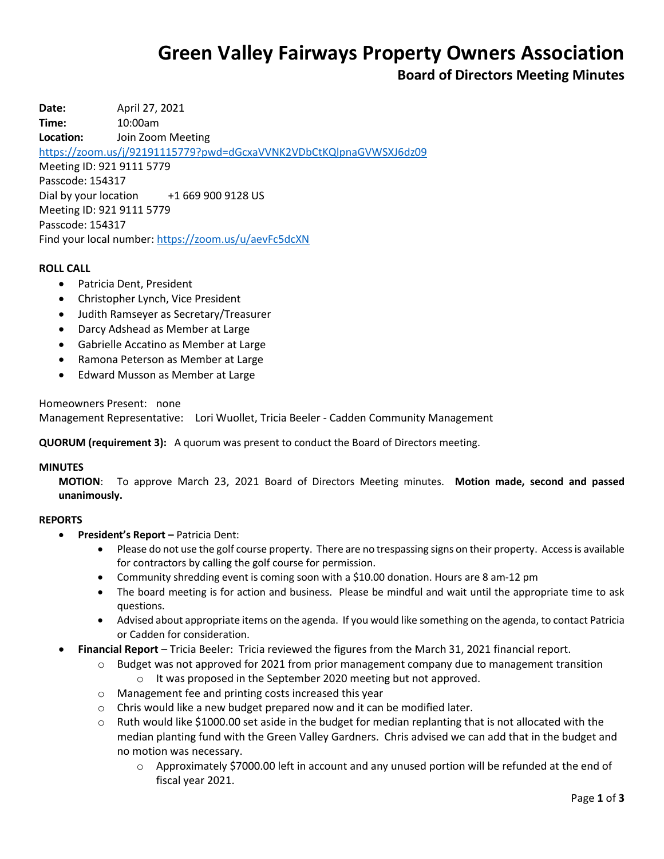# **Green Valley Fairways Property Owners Association**

# **Board of Directors Meeting Minutes**

**Date:** April 27, 2021 **Time:** 10:00am **Location:** Join Zoom Meeting <https://zoom.us/j/92191115779?pwd=dGcxaVVNK2VDbCtKQlpnaGVWSXJ6dz09> Meeting ID: 921 9111 5779 Passcode: 154317 Dial by your location +1 669 900 9128 US Meeting ID: 921 9111 5779 Passcode: 154317 Find your local number[: https://zoom.us/u/aevFc5dcXN](https://zoom.us/u/aevFc5dcXN)

#### **ROLL CALL**

- Patricia Dent, President
- Christopher Lynch, Vice President
- Judith Ramseyer as Secretary/Treasurer
- Darcy Adshead as Member at Large
- Gabrielle Accatino as Member at Large
- Ramona Peterson as Member at Large
- Edward Musson as Member at Large

Homeowners Present: none

Management Representative: Lori Wuollet, Tricia Beeler - Cadden Community Management

**QUORUM (requirement 3):** A quorum was present to conduct the Board of Directors meeting.

#### **MINUTES**

**MOTION**: To approve March 23, 2021 Board of Directors Meeting minutes. **Motion made, second and passed unanimously.**

#### **REPORTS**

- **President's Report –** Patricia Dent:
	- Please do not use the golf course property. There are no trespassing signs on their property. Access is available for contractors by calling the golf course for permission.
	- Community shredding event is coming soon with a \$10.00 donation. Hours are 8 am-12 pm
	- The board meeting is for action and business. Please be mindful and wait until the appropriate time to ask questions.
	- Advised about appropriate items on the agenda. If you would like something on the agenda, to contact Patricia or Cadden for consideration.
- **Financial Report** Tricia Beeler: Tricia reviewed the figures from the March 31, 2021 financial report.
	- $\circ$  Budget was not approved for 2021 from prior management company due to management transition o It was proposed in the September 2020 meeting but not approved.
	- o Management fee and printing costs increased this year
	- $\circ$  Chris would like a new budget prepared now and it can be modified later.
	- $\circ$  Ruth would like \$1000.00 set aside in the budget for median replanting that is not allocated with the median planting fund with the Green Valley Gardners. Chris advised we can add that in the budget and no motion was necessary.
		- o Approximately \$7000.00 left in account and any unused portion will be refunded at the end of fiscal year 2021.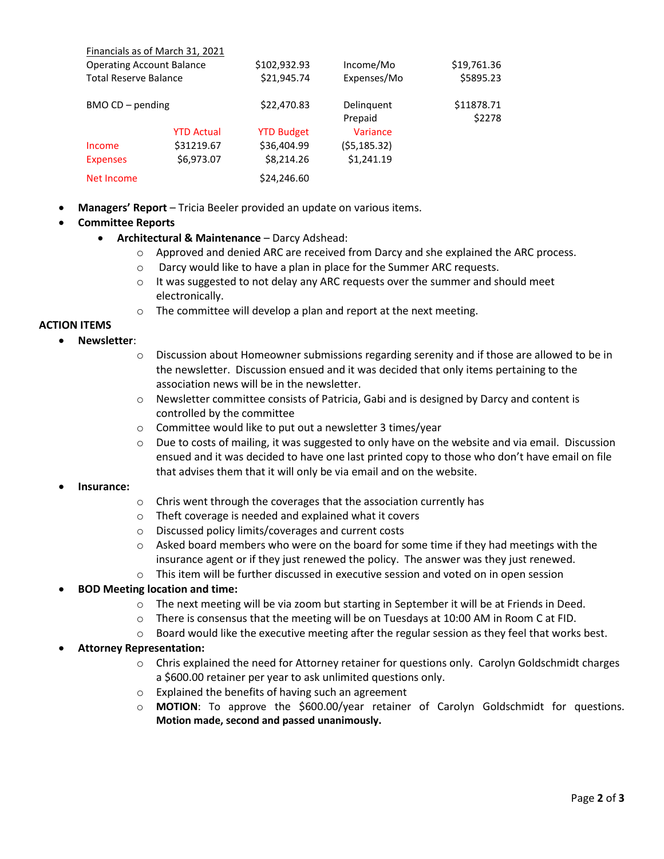|                                  | Financials as of March 31, 2021 |                   |              |             |
|----------------------------------|---------------------------------|-------------------|--------------|-------------|
| <b>Operating Account Balance</b> |                                 | \$102,932.93      | Income/Mo    | \$19,761.36 |
| <b>Total Reserve Balance</b>     |                                 | \$21,945.74       | Expenses/Mo  | \$5895.23   |
| BMO CD - pending                 |                                 | \$22,470.83       | Delinguent   | \$11878.71  |
|                                  |                                 |                   | Prepaid      | \$2278      |
|                                  | <b>YTD Actual</b>               | <b>YTD Budget</b> | Variance     |             |
| Income                           | \$31219.67                      | \$36,404.99       | (55, 185.32) |             |
| <b>Expenses</b>                  | \$6,973.07                      | \$8,214.26        | \$1,241.19   |             |
| Net Income                       |                                 | \$24,246.60       |              |             |

**Managers' Report** – Tricia Beeler provided an update on various items.

## **Committee Reports**

- **Architectural & Maintenance** Darcy Adshead:
	- $\circ$  Approved and denied ARC are received from Darcy and she explained the ARC process.
	- o Darcy would like to have a plan in place for the Summer ARC requests.
	- $\circ$  It was suggested to not delay any ARC requests over the summer and should meet electronically.
	- o The committee will develop a plan and report at the next meeting.

## **ACTION ITEMS**

- **Newsletter**:
	- $\circ$  Discussion about Homeowner submissions regarding serenity and if those are allowed to be in the newsletter. Discussion ensued and it was decided that only items pertaining to the association news will be in the newsletter.
	- o Newsletter committee consists of Patricia, Gabi and is designed by Darcy and content is controlled by the committee
	- o Committee would like to put out a newsletter 3 times/year
	- $\circ$  Due to costs of mailing, it was suggested to only have on the website and via email. Discussion ensued and it was decided to have one last printed copy to those who don't have email on file that advises them that it will only be via email and on the website.

#### **Insurance:**

- o Chris went through the coverages that the association currently has
- o Theft coverage is needed and explained what it covers
- o Discussed policy limits/coverages and current costs
- $\circ$  Asked board members who were on the board for some time if they had meetings with the insurance agent or if they just renewed the policy. The answer was they just renewed.
- $\circ$  This item will be further discussed in executive session and voted on in open session

## **BOD Meeting location and time:**

- $\circ$  The next meeting will be via zoom but starting in September it will be at Friends in Deed.
- o There is consensus that the meeting will be on Tuesdays at 10:00 AM in Room C at FID.
- $\circ$  Board would like the executive meeting after the regular session as they feel that works best.

## **Attorney Representation:**

- $\circ$  Chris explained the need for Attorney retainer for questions only. Carolyn Goldschmidt charges a \$600.00 retainer per year to ask unlimited questions only.
- o Explained the benefits of having such an agreement
- o **MOTION**: To approve the \$600.00/year retainer of Carolyn Goldschmidt for questions. **Motion made, second and passed unanimously.**